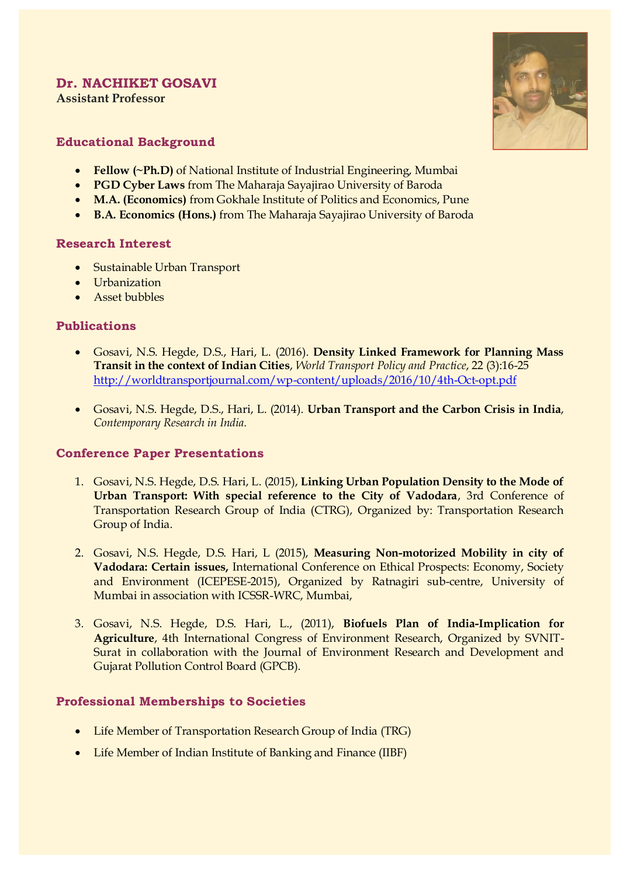# **Dr. NACHIKET GOSAVI**

**Assistant Professor** 



# **Educational Background**

- **Fellow (~Ph.D)** of National Institute of Industrial Engineering, Mumbai
- **PGD Cyber Laws** from The Maharaja Sayajirao University of Baroda
- **M.A. (Economics)** from Gokhale Institute of Politics and Economics, Pune
- **B.A. Economics (Hons.)** from The Maharaja Sayajirao University of Baroda

#### **Research Interest**

- Sustainable Urban Transport
- Urbanization
- Asset bubbles

### **Publications**

- Gosavi, N.S. Hegde, D.S., Hari, L. (2016). **Density Linked Framework for Planning Mass Transit in the context of Indian Cities**, *World Transport Policy and Practice*, 22 (3):16-25 <http://worldtransportjournal.com/wp-content/uploads/2016/10/4th-Oct-opt.pdf>
- Gosavi, N.S. Hegde, D.S., Hari, L. (2014). **Urban Transport and the Carbon Crisis in India**, *Contemporary Research in India.*

### **Conference Paper Presentations**

- 1. Gosavi, N.S. Hegde, D.S. Hari, L. (2015), **Linking Urban Population Density to the Mode of Urban Transport: With special reference to the City of Vadodara**, 3rd Conference of Transportation Research Group of India (CTRG), Organized by: Transportation Research Group of India.
- 2. Gosavi, N.S. Hegde, D.S. Hari, L (2015), **Measuring Non-motorized Mobility in city of Vadodara: Certain issues,** International Conference on Ethical Prospects: Economy, Society and Environment (ICEPESE-2015), Organized by Ratnagiri sub-centre, University of Mumbai in association with ICSSR-WRC, Mumbai,
- 3. Gosavi, N.S. Hegde, D.S. Hari, L., (2011), **Biofuels Plan of India-Implication for Agriculture**, 4th International Congress of Environment Research, Organized by SVNIT-Surat in collaboration with the Journal of Environment Research and Development and Gujarat Pollution Control Board (GPCB).

## **Professional Memberships to Societies**

- Life Member of Transportation Research Group of India (TRG)
- Life Member of Indian Institute of Banking and Finance (IIBF)